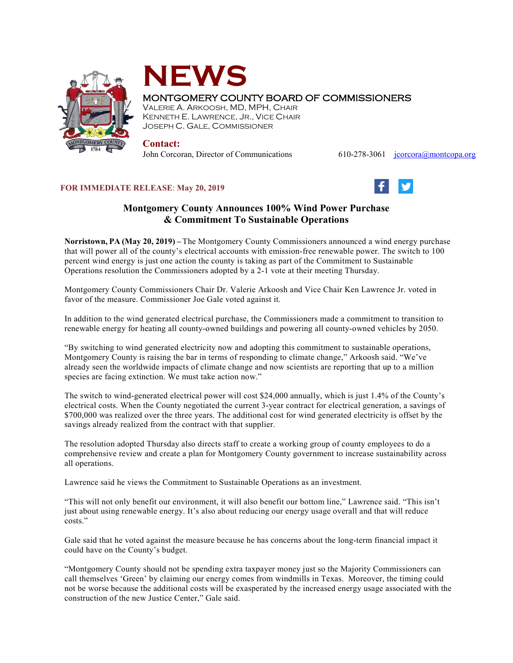



## MONTGOMERY COUNTY BOARD OF COMMISSIONERS

VALERIE A. ARKOOSH, MD, MPH, CHAIR KENNETH E. LAWRENCE, JR., VICE CHAIR JOSEPH C. GALE, COMMISSIONER

## **Contact:**

John Corcoran, Director of Communications 610-278-3061 [jcorcora@montcopa.org](mailto:jcorcora@montcopa.org)

## **FOR IMMEDIATE RELEASE**: **May 20, 2019**



## **Montgomery County Announces 100% Wind Power Purchase & Commitment To Sustainable Operations**

**Norristown, PA (May 20, 2019) –** The Montgomery County Commissioners announced a wind energy purchase that will power all of the county's electrical accounts with emission-free renewable power. The switch to 100 percent wind energy is just one action the county is taking as part of the Commitment to Sustainable Operations resolution the Commissioners adopted by a 2-1 vote at their meeting Thursday.

Montgomery County Commissioners Chair Dr. Valerie Arkoosh and Vice Chair Ken Lawrence Jr. voted in favor of the measure. Commissioner Joe Gale voted against it.

In addition to the wind generated electrical purchase, the Commissioners made a commitment to transition to renewable energy for heating all county-owned buildings and powering all county-owned vehicles by 2050.

"By switching to wind generated electricity now and adopting this commitment to sustainable operations, Montgomery County is raising the bar in terms of responding to climate change," Arkoosh said. "We've already seen the worldwide impacts of climate change and now scientists are reporting that up to a million species are facing extinction. We must take action now."

The switch to wind-generated electrical power will cost \$24,000 annually, which is just 1.4% of the County's electrical costs. When the County negotiated the current 3-year contract for electrical generation, a savings of \$700,000 was realized over the three years. The additional cost for wind generated electricity is offset by the savings already realized from the contract with that supplier.

The resolution adopted Thursday also directs staff to create a working group of county employees to do a comprehensive review and create a plan for Montgomery County government to increase sustainability across all operations.

Lawrence said he views the Commitment to Sustainable Operations as an investment.

"This will not only benefit our environment, it will also benefit our bottom line," Lawrence said. "This isn't just about using renewable energy. It's also about reducing our energy usage overall and that will reduce costs."

Gale said that he voted against the measure because he has concerns about the long-term financial impact it could have on the County's budget.

"Montgomery County should not be spending extra taxpayer money just so the Majority Commissioners can call themselves 'Green' by claiming our energy comes from windmills in Texas. Moreover, the timing could not be worse because the additional costs will be exasperated by the increased energy usage associated with the construction of the new Justice Center," Gale said.